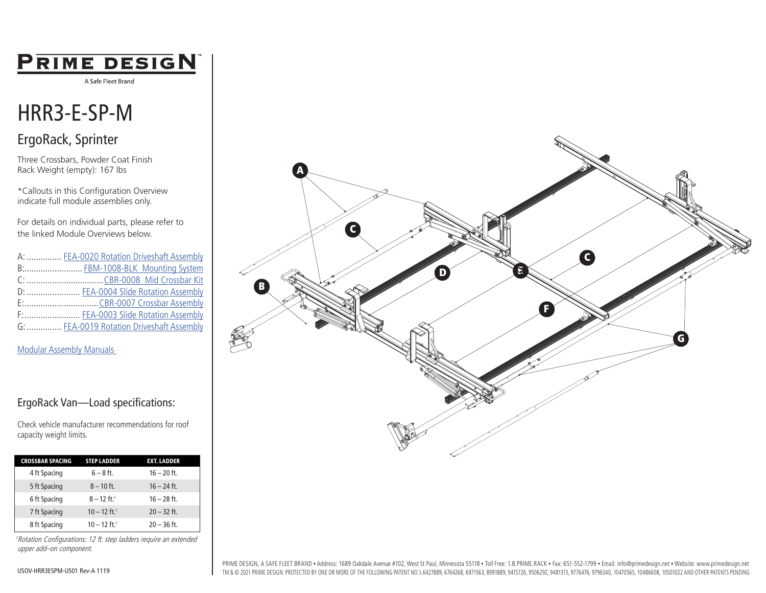## PRIME DESIGN

A Safe Fleet Brand

# HRR3-E-SP-M

### ErgoRack, Sprinter

Three Crossbars, Powder Coat Finish Rack Weight (empty): 167 lbs

\*Callouts in this Configuration Overview indicate full module assemblies only.

For details on individual parts, please refer to the linked Module Overviews below.

| A:  FEA-0020 Rotation Driveshaft Assembly |
|-------------------------------------------|
| B: FBM-1008-BLK Mounting System           |
|                                           |
| D:  FEA-0004 Slide Rotation Assembly      |
|                                           |
| F:  FEA-0003 Slide Rotation Assembly      |
| G:  FEA-0019 Rotation Driveshaft Assembly |

#### [Modular Assembly Manuals](https://www.primedesign.net/document-library/#modular-assembly-manuals-tab)

#### ErgoRack Van—Load specifications:

Check vehicle manufacturer recommendations for roof capacity weight limits.

| <b>CROSSBAR SPACING</b> | <b>STEP LADDER</b>         | <b>EXT. LADDER</b> |
|-------------------------|----------------------------|--------------------|
| 4 ft Spacing            | $6 - 8$ ft.                | $16 - 20$ ft.      |
| 5 ft Spacing            | $8 - 10$ ft.               | $16 - 24$ ft.      |
| 6 ft Spacing            | $8 - 12$ ft. <sup>+</sup>  | $16 - 28$ ft.      |
| 7 ft Spacing            | $10 - 12$ ft. <sup>+</sup> | $20 - 32$ ft.      |
| 8 ft Spacing            | $10 - 12$ ft. <sup>+</sup> | $20 - 36$ ft.      |

†Rotation Configurations: 12 ft. step ladders require an extended upper add–on component.